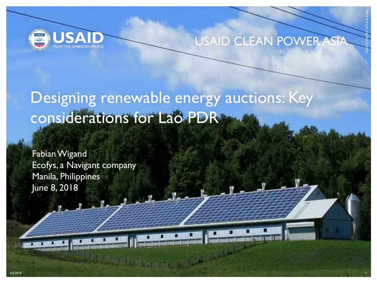

#### USAID CLEAN POWER

PHOTO CREDIT: ISTOCK.COM

# Designing renewable energy auctions: Key considerations for Lao PDR

Fabian Wigand Ecofys, a Navigant company Manila, Philippines June 8, 2018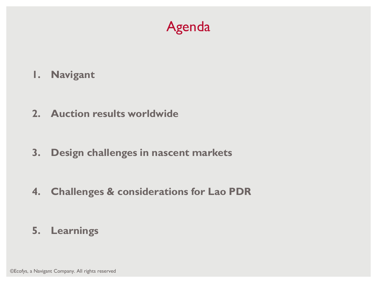

- **1. Navigant**
- **2. Auction results worldwide**
- **3. Design challenges in nascent markets**
- **4. Challenges & considerations for Lao PDR**

**5. Learnings**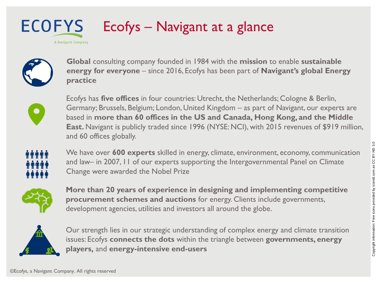#### **ECOFYS** Ecofys – Navigant at a glance A Navigant Company



**Global** consulting company founded in 1984 with the **mission** to enable **sustainable energy for everyone** – since 2016, Ecofys has been part of **Navigant's global Energy practice**



Ecofys has **five offices** in four countries: Utrecht, the Netherlands; Cologne & Berlin, Germany; Brussels, Belgium; London, United Kingdom – as part of Navigant, our experts are based in **more than 60 offices in the US and Canada, Hong Kong, and the Middle East.** Navigant is publicly traded since 1996 (NYSE: NCI), with 2015 revenues of \$919 million, and 60 offices globally.



We have over **600 experts** skilled in energy, climate, environment, economy, communication and law– in 2007, 11 of our experts supporting the Intergovernmental Panel on Climate Change were awarded the Nobel Prize



**More than 20 years of experience in designing and implementing competitive procurement schemes and auctions** for energy. Clients include governments, development agencies, utilities and investors all around the globe.



Our strength lies in our strategic understanding of complex energy and climate transition issues: Ecofys **connects the dots** within the triangle between **governments, energy players,** and **energy-intensive end-users**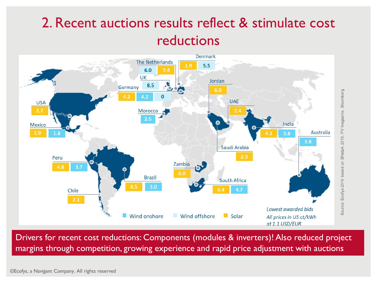### 2. Recent auctions results reflect & stimulate cost reductions



Drivers for recent cost reductions: Components (modules & inverters)! Also reduced project margins through competition, growing experience and rapid price adjustment with auctions

©Ecofys, a Navigant Company. All rights reserved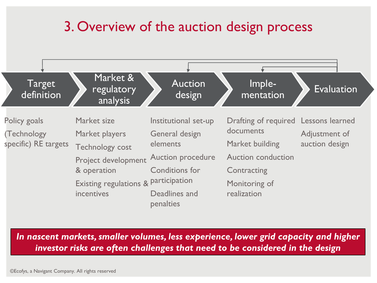### 3. Overview of the auction design process



*In nascent markets, smaller volumes, less experience, lower grid capacity and higher investor risks are often challenges that need to be considered in the design*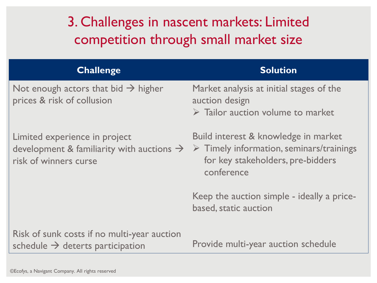### 3. Challenges in nascent markets: Limited competition through small market size

| <b>Challenge</b>                                                                                                | <b>Solution</b>                                                                                                                                    |
|-----------------------------------------------------------------------------------------------------------------|----------------------------------------------------------------------------------------------------------------------------------------------------|
| Not enough actors that bid $\rightarrow$ higher<br>prices & risk of collusion                                   | Market analysis at initial stages of the<br>auction design<br>$\triangleright$ Tailor auction volume to market                                     |
| Limited experience in project<br>development & familiarity with auctions $\rightarrow$<br>risk of winners curse | Build interest & knowledge in market<br>$\triangleright$ Timely information, seminars/trainings<br>for key stakeholders, pre-bidders<br>conference |
|                                                                                                                 | Keep the auction simple - ideally a price-<br>based, static auction                                                                                |
| Risk of sunk costs if no multi-year auction<br>schedule $\rightarrow$ deterts participation                     | Provide multi-year auction schedule                                                                                                                |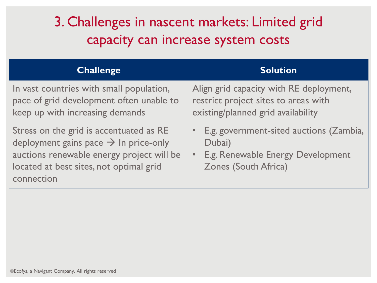## 3. Challenges in nascent markets: Limited grid capacity can increase system costs

#### **Challenge Solution**

In vast countries with small population, pace of grid development often unable to keep up with increasing demands

Stress on the grid is accentuated as RE deployment gains pace  $\rightarrow$  In price-only auctions renewable energy project will be located at best sites, not optimal grid connection

Align grid capacity with RE deployment, restrict project sites to areas with existing/planned grid availability

- E.g. government-sited auctions (Zambia, Dubai)
- E.g. Renewable Energy Development Zones (South Africa)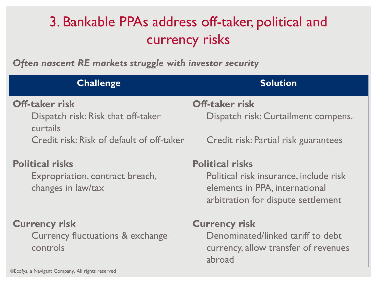# 3. Bankable PPAs address off-taker, political and currency risks

*Often nascent RE markets struggle with investor security*

| <b>Challenge</b>                                      | <b>Solution</b>                                                                                                |  |  |
|-------------------------------------------------------|----------------------------------------------------------------------------------------------------------------|--|--|
| <b>Off-taker risk</b>                                 | <b>Off-taker risk</b>                                                                                          |  |  |
| Dispatch risk: Risk that off-taker<br>curtails        | Dispatch risk: Curtailment compens.                                                                            |  |  |
| Credit risk: Risk of default of off-taker             | Credit risk: Partial risk guarantees                                                                           |  |  |
| <b>Political risks</b>                                | <b>Political risks</b>                                                                                         |  |  |
| Expropriation, contract breach,<br>changes in law/tax | Political risk insurance, include risk<br>elements in PPA, international<br>arbitration for dispute settlement |  |  |
| <b>Currency risk</b>                                  | <b>Currency risk</b>                                                                                           |  |  |
| Currency fluctuations & exchange<br>controls          | Denominated/linked tariff to debt<br>currency, allow transfer of revenues<br>abroad                            |  |  |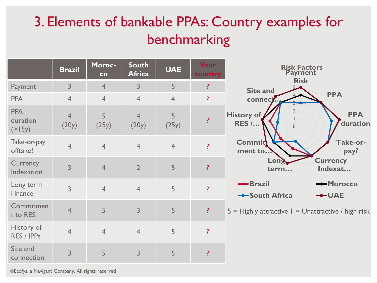# 3. Elements of bankable PPAs: Country examples for benchmarking

|                                  | <b>Brazil</b>           | <b>Moroc-</b><br>co | <b>South</b><br><b>Africa</b> | <b>UAE</b>     | Your<br>country            | <b>Risk Factors</b><br><b>Payment</b>                  |
|----------------------------------|-------------------------|---------------------|-------------------------------|----------------|----------------------------|--------------------------------------------------------|
| Payment                          | 3                       | $\overline{4}$      | $\overline{3}$                | 5              | ?                          | <b>Risk</b><br><b>Site and</b>                         |
| <b>PPA</b>                       | $\overline{4}$          | $\overline{4}$      | $\overline{4}$                | $\overline{4}$ | ?                          | <b>PPA</b><br>connect                                  |
| <b>PPA</b><br>duration<br>(>15y) | $\overline{4}$<br>(20y) | 5<br>(25y)          | $\overline{4}$<br>(20y)       | 5<br>(25y)     | $\boldsymbol{\mathcal{V}}$ | <b>PPA</b><br>History of<br><b>RES /</b><br>duration   |
| Take-or-pay<br>offtake?          | $\overline{4}$          | $\overline{4}$      | $\overline{4}$                | $\overline{4}$ |                            | <b>Commit</b><br>Take-or-<br>ment to<br>pay?           |
| Currency<br>Indexation           | $\overline{3}$          | $\overline{4}$      | $\overline{2}$                | 5              | $\boldsymbol{\mathcal{P}}$ | <b>Currency</b><br>Long<br>Indexat<br>term             |
| Long term<br>Finance             | $\overline{3}$          | $\overline{4}$      | $\overline{4}$                | 5              |                            | --Brazil<br>-Morocco<br>-South Africa<br>$-$ -UAE      |
| Commitmen<br>t to RES            | $\overline{4}$          | 5                   | $\overline{3}$                | 5              | ?                          | $5 =$ Highly attractive $1 =$ Unattractive / high risk |
| History of<br>RES / IPPs         | $\overline{4}$          | $\overline{4}$      | $\overline{4}$                | 5              | $\ddot{\cdot}$             |                                                        |
| Site and<br>connection           | 3                       | 5                   | 3                             | 5              | 1                          |                                                        |

©Ecofys, a Navigant Company. All rights reserved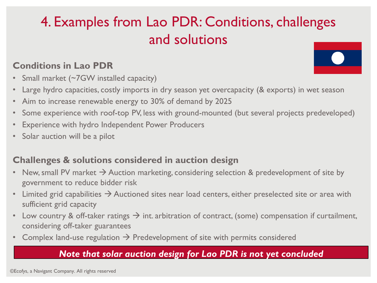# 4. Examples from Lao PDR: Conditions, challenges and solutions

#### **Conditions in Lao PDR**

- Small market (~7GW installed capacity)
- Large hydro capacities, costly imports in dry season yet overcapacity (& exports) in wet season
- Aim to increase renewable energy to 30% of demand by 2025
- Some experience with roof-top PV, less with ground-mounted (but several projects predeveloped)
- Experience with hydro Independent Power Producers
- Solar auction will be a pilot

#### **Challenges & solutions considered in auction design**

- New, small PV market  $\rightarrow$  Auction marketing, considering selection & predevelopment of site by government to reduce bidder risk
- Limited grid capabilities  $\rightarrow$  Auctioned sites near load centers, either preselected site or area with sufficient grid capacity
- Low country & off-taker ratings  $\rightarrow$  int. arbitration of contract, (some) compensation if curtailment, considering off-taker guarantees
- Complex land-use regulation  $\rightarrow$  Predevelopment of site with permits considered

#### *Note that solar auction design for Lao PDR is not yet concluded*

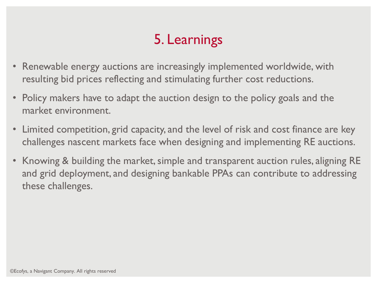# 5. Learnings

- Renewable energy auctions are increasingly implemented worldwide, with resulting bid prices reflecting and stimulating further cost reductions.
- Policy makers have to adapt the auction design to the policy goals and the market environment.
- Limited competition, grid capacity, and the level of risk and cost finance are key challenges nascent markets face when designing and implementing RE auctions.
- Knowing & building the market, simple and transparent auction rules, aligning RE and grid deployment, and designing bankable PPAs can contribute to addressing these challenges.